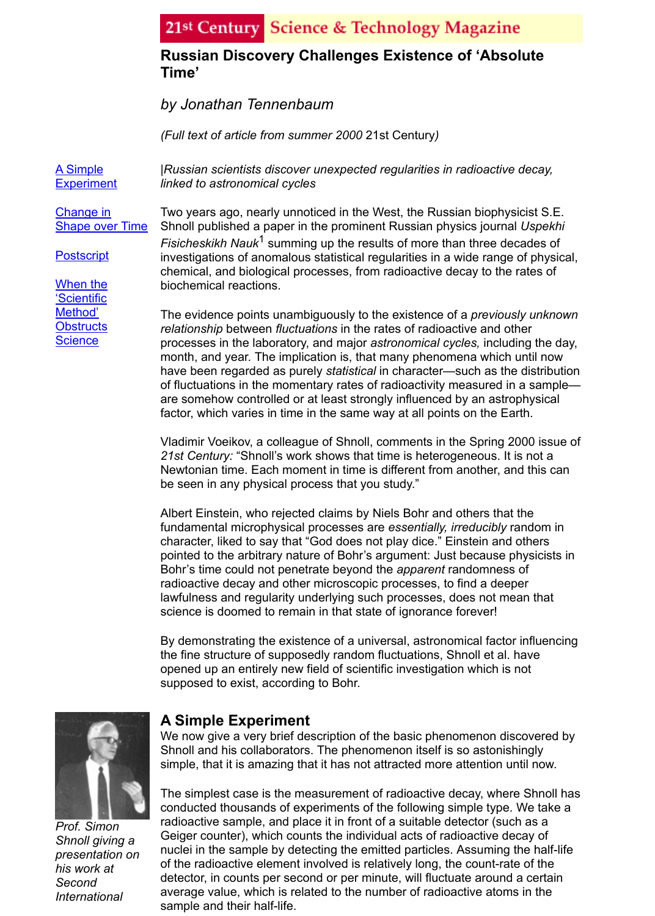A Simple **Experiment**  *|Russian scientists discover unexpected regularities in radioactive decay, linked to astronomical cycles*

Change in Shape over Time

**Postscript** 

When the 'Scientific Method' **Obstructs [Science](http://21stcenturysciencetech.com/articles/time.html#Experiment)** 

Two years ago, nearly unnoticed in the West, the Russian biophysicist S.E. Shnoll published a paper in the prominent Russian physics journal *Uspekhi Fisicheskikh Nauk*1 summing up the results of more than three decades of investigations of anomalous statistical regularities in a wide range of physical, chemical, and biological processes, from radioactive decay to the rates of biochemical reactions.

The evidence points unambiguously to the existence of a *previously unknown relationship* between *fluctuations* in the rates of radioactive and other processes in the laboratory, and major *astronomical cycles,* including the day, month, and year. The implication is, that many phenomena which until now have been regarded as purely *statistical* in character—such as the distributio of fluctuations in the momentary rates of radioactivity measured in a sample are somehow controlled or at least strongly influenced by an astrophysical factor, which varies in time in the same way at all points on the Earth.

Vladimir Voeikov, a colleague of Shnoll, comments in the Spring 2000 issue of *21st Century:* "Shnoll's work shows that time is heterogeneous. It is not a Newtonian time. Each moment in time is different from another, and this can be seen in any physical process that you study."

Albert Einstein, who rejected claims by Niels Bohr and others that the fundamental microphysical processes are *essentially, irreducibly* random in character, liked to say that "God does not play dice." Einstein and others pointed to the arbitrary nature of Bohr's argument: Just because physicists in Bohr's time could not penetrate beyond the *apparent* randomness of radioactive decay and other microscopic processes, to find a deeper lawfulness and regularity underlying such processes, does not mean that science is doomed to remain in that state of ignorance forever!

By demonstrating the existence of a universal, astronomical factor influencing the fine structure of supposedly random fluctuations, Shnoll et al. have opened up an entirely new field of scientific investigation which is not supposed to exist, according to Bohr.



*Prof. Simon Shnoll giving a presentation on his work at Second International*

# **A Simple Experiment**

We now give a very brief description of the basic phenomenon discovered by Shnoll and his collaborators. The phenomenon itself is so astonishingly simple, that it is amazing that it has not attracted more attention until now.

The simplest case is the measurement of radioactive decay, where Shnoll has conducted thousands of experiments of the following simple type. We take a radioactive sample, and place it in front of a suitable detector (such as a Geiger counter), which counts the individual acts of radioactive decay of nuclei in the sample by detecting the emitted particles. Assuming the half-life of the radioactive element involved is relatively long, the count-rate of the detector, in counts per second or per minute, will fluctuate around a certain average value, which is related to the number of radioactive atoms in the sample and their half-life.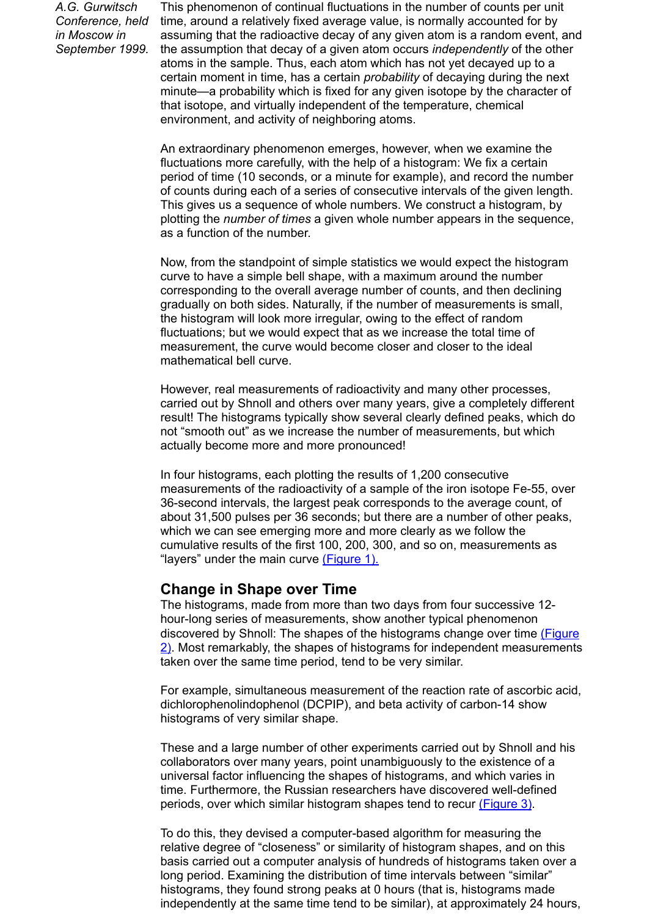period of time (10 seconds, or a minute for example), and record the number of counts during each of a series of consecutive intervals of the given length. This gives us a sequence of whole numbers. We construct a histogram, by plotting the *number of times* a given whole number appears in the sequence, as a function of the number.

Now, from the standpoint of simple statistics we would expect the histogram curve to have a simple bell shape, with a maximum around the number corresponding to the overall average number of counts, and then declining gradually on both sides. Naturally, if the number of measurements is small, the histogram will look more irregular, owing to the effect of random fluctuations; but we would expect that as we increase the total time of measurement, the curve would become closer and closer to the ideal mathematical bell curve.

However, real measurements of radioactivity and many other processes, carried out by Shnoll and others over many years, give a completely different result! The histograms typically show several clearly defined peaks, which do not "smooth out" as we increase the number of measurements, but which actually become more and more pronounced!

In four histograms, each plotting the results of 1,200 consecutive measurements of the radioactivity of a sample of the iron isotope Fe-55, over 36-second intervals, the largest peak corresponds to the average count, of about 31,500 pulses per 36 seconds; but there are a number of other peaks, which we can see emerging more and more clearly as we follow the cumulative results of the first 100, 200, 300, and so on, measurements as "layers" under the main curve (Figure 1).

### **Change in Shape over Time**

The histograms, made from more than two days from four successive 12 hour-long series of measurements, show another typical phenomenon discovered by Shnoll: The shapes of the histograms change over time (Figure  $\sqrt{2}$ . Most remarkably, the shapes of histograms for independent measurement taken over the same time period, tend to be very similar.

For example, simultaneous measurement of the reaction rate of ascorbic acid dichlorophenolindophenol (DCPIP), and beta activity of carbon-14 show histograms of very similar shape.

These and a large number of other experiments carried out by Shnoll and his collaborators over many years, point unambiguously to the existence of a universal factor influencing the shapes of histograms, and which varies in time. Furthermore, the Russian researchers have discovered well-defined [periods, over which similar histogram shapes tend to recur \(Figure 3\).](http://21stcenturysciencetech.com/articles/sholl2.html)

To do this, they devised a computer-based algorithm for measuring the relative degree of "closeness" or similarity of histogram shapes, and on this basis carried out a computer analysis of hundreds of histograms taken over a long period. Examining the distribution of time intervals between "similar" histograms, they found strong peaks at 0 hours (that is, histograms made independently at the same time tend to be similar), at approximately 24 hours,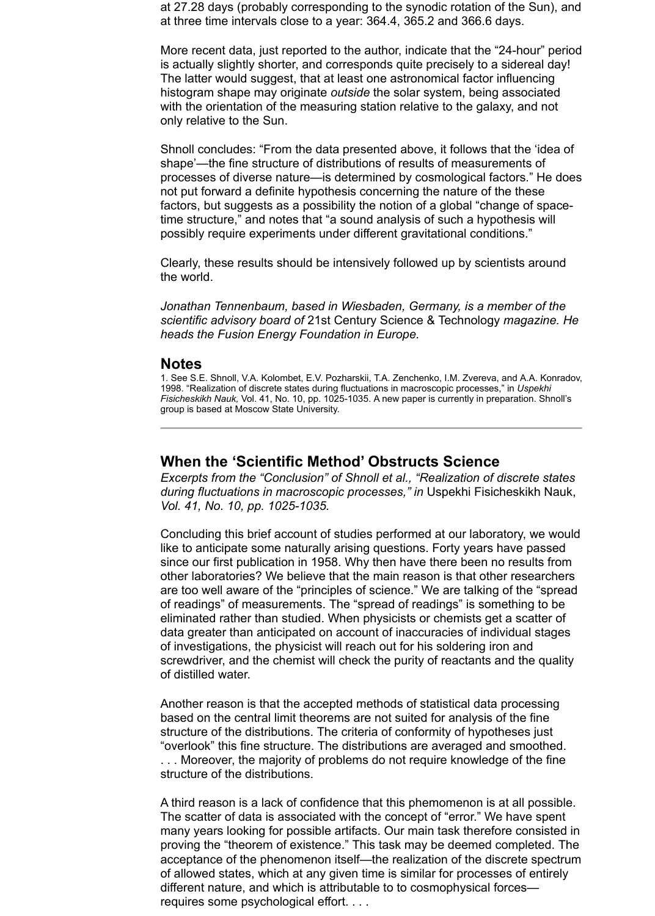at 27.28 days (probably corresponding to the synodic rotation of the Sun), and at three time intervals close to a year: 364.4, 365.2 and 366.6 days.

More recent data, just reported to the author, indicate that the "24-hour" period is actually slightly shorter, and corresponds quite precisely to a sidereal day! The latter would suggest, that at least one astronomical factor influencing histogram shape may originate *outside* the solar system, being associated with the orientation of the measuring station relative to the galaxy, and not only relative to the Sun.

Shnoll concludes: "From the data presented above, it follows that the 'idea of shape'—the fine structure of distributions of results of measurements of processes of diverse nature—is determined by cosmological factors." He does not put forward a definite hypothesis concerning the nature of the these factors, but suggests as a possibility the notion of a global "change of spacetime structure," and notes that "a sound analysis of such a hypothesis will possibly require experiments under different gravitational conditions."

Clearly, these results should be intensively followed up by scientists around the world.

*Jonathan Tennenbaum, based in Wiesbaden, Germany, is a member of the scientific advisory board of* 21st Century Science & Technology *magazine. He heads the Fusion Energy Foundation in Europe.*

#### **Notes**

1. See S.E. Shnoll, V.A. Kolombet, E.V. Pozharskii, T.A. Zenchenko, I.M. Zvereva, and A.A. Konradov, 1998. "Realization of discrete states during fluctuations in macroscopic processes," in *Uspekhi Fisicheskikh Nauk,* Vol. 41, No. 10, pp. 1025-1035. A new paper is currently in preparation. Shnoll's group is based at Moscow State University.

### **When the 'Scientific Method' Obstructs Science**

*Excerpts from the "Conclusion" of Shnoll et al., "Realization of discrete states during fluctuations in macroscopic processes," in* Uspekhi Fisicheskikh Nauk, *Vol. 41, No. 10, pp. 1025-1035.*

Concluding this brief account of studies performed at our laboratory, we would like to anticipate some naturally arising questions. Forty years have passed since our first publication in 1958. Why then have there been no results from other laboratories? We believe that the main reason is that other researchers are too well aware of the "principles of science." We are talking of the "spread of readings" of measurements. The "spread of readings" is something to be eliminated rather than studied. When physicists or chemists get a scatter of data greater than anticipated on account of inaccuracies of individual stages of investigations, the physicist will reach out for his soldering iron and screwdriver, and the chemist will check the purity of reactants and the quality of distilled water.

Another reason is that the accepted methods of statistical data processing based on the central limit theorems are not suited for analysis of the fine structure of the distributions. The criteria of conformity of hypotheses just "overlook" this fine structure. The distributions are averaged and smoothed. . . . Moreover, the majority of problems do not require knowledge of the fine structure of the distributions.

A third reason is a lack of confidence that this phemomenon is at all possible. The scatter of data is associated with the concept of "error." We have spent many years looking for possible artifacts. Our main task therefore consisted in proving the "theorem of existence." This task may be deemed completed. The acceptance of the phenomenon itself—the realization of the discrete spectrum of allowed states, which at any given time is similar for processes of entirely different nature, and which is attributable to to cosmophysical forces requires some psychological effort. . . .